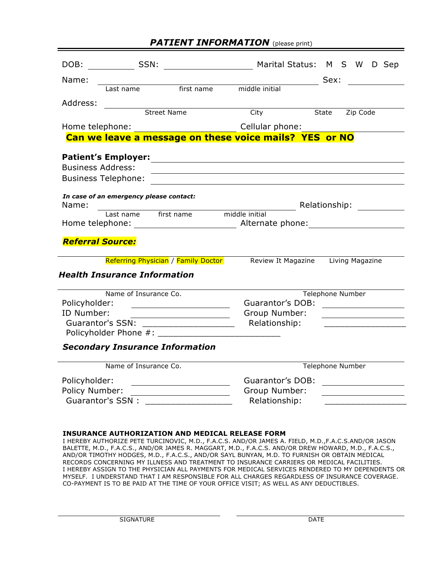### **PATIENT INFORMATION** (please print)

| DOB:                     | SSN:                                    |                                     | Marital Status: M S W                                                                                                 |                  |       |                 | D Sep |                                         |
|--------------------------|-----------------------------------------|-------------------------------------|-----------------------------------------------------------------------------------------------------------------------|------------------|-------|-----------------|-------|-----------------------------------------|
| Name:                    |                                         |                                     |                                                                                                                       |                  | Sex:  |                 |       |                                         |
|                          | Last name                               | first name                          | middle initial                                                                                                        |                  |       |                 |       |                                         |
| Address:                 |                                         |                                     |                                                                                                                       |                  |       |                 |       |                                         |
|                          | Street Name                             |                                     | City                                                                                                                  |                  | State | Zip Code        |       |                                         |
| Home telephone:          |                                         |                                     | Cellular phone:                                                                                                       |                  |       |                 |       |                                         |
|                          |                                         |                                     | Can we leave a message on these voice mails? YES or NO                                                                |                  |       |                 |       |                                         |
|                          | <b>Patient's Employer:</b>              |                                     |                                                                                                                       |                  |       |                 |       |                                         |
| <b>Business Address:</b> |                                         |                                     | <u> 1989 - Johann Stoff, deutscher Stoff, der Stoff, der Stoff, der Stoff, der Stoff, der Stoff, der Stoff, der S</u> |                  |       |                 |       |                                         |
|                          | <b>Business Telephone:</b>              |                                     |                                                                                                                       |                  |       |                 |       |                                         |
|                          | In case of an emergency please contact: |                                     |                                                                                                                       |                  |       |                 |       |                                         |
| Name:                    |                                         |                                     |                                                                                                                       | Relationship:    |       |                 |       |                                         |
|                          | Last name first name                    |                                     | middle initial                                                                                                        |                  |       |                 |       |                                         |
|                          |                                         |                                     |                                                                                                                       |                  |       |                 |       |                                         |
| <b>Referral Source:</b>  |                                         |                                     |                                                                                                                       |                  |       |                 |       |                                         |
|                          |                                         |                                     |                                                                                                                       |                  |       |                 |       |                                         |
|                          |                                         | Referring Physician / Family Doctor | Review It Magazine                                                                                                    |                  |       | Living Magazine |       |                                         |
|                          | <b>Health Insurance Information</b>     |                                     |                                                                                                                       |                  |       |                 |       |                                         |
|                          | Name of Insurance Co.                   |                                     |                                                                                                                       | Telephone Number |       |                 |       |                                         |
| Policyholder:            |                                         |                                     | <b>Guarantor's DOB:</b>                                                                                               |                  |       |                 |       |                                         |
| ID Number:               |                                         |                                     | Group Number:                                                                                                         |                  |       |                 |       |                                         |
|                          |                                         |                                     | Relationship:                                                                                                         |                  |       |                 |       |                                         |
|                          |                                         |                                     |                                                                                                                       |                  |       |                 |       |                                         |
|                          | <b>Secondary Insurance Information</b>  |                                     |                                                                                                                       |                  |       |                 |       |                                         |
|                          | Name of Insurance Co.                   |                                     |                                                                                                                       | Telephone Number |       |                 |       |                                         |
| Policyholder:            |                                         |                                     | <b>Guarantor's DOB:</b>                                                                                               |                  |       |                 |       |                                         |
| Policy Number:           |                                         |                                     | Group Number:                                                                                                         |                  |       |                 |       |                                         |
|                          |                                         |                                     | Relationship:                                                                                                         |                  |       |                 |       | <u> 1989 - Johann Barbara, martin a</u> |
|                          |                                         |                                     |                                                                                                                       |                  |       |                 |       |                                         |

#### **INSURANCE AUTHORIZATION AND MEDICAL RELEASE FORM**

I HEREBY AUTHORIZE PETE TURCINOVIC, M.D., F.A.C.S. AND/OR JAMES A. FIELD, M.D.,F.A.C.S.AND/OR JASON BALETTE, M.D., F.A.C.S., AND/OR JAMES R. MAGGART, M.D., F.A.C.S. AND/OR DREW HOWARD, M.D., F.A.C.S., AND/OR TIMOTHY HODGES, M.D., F.A.C.S., AND/OR SAYL BUNYAN, M.D. TO FURNISH OR OBTAIN MEDICAL RECORDS CONCERNING MY ILLNESS AND TREATMENT TO INSURANCE CARRIERS OR MEDICAL FACILITIES. I HEREBY ASSIGN TO THE PHYSICIAN ALL PAYMENTS FOR MEDICAL SERVICES RENDERED TO MY DEPENDENTS OR MYSELF. I UNDERSTAND THAT I AM RESPONSIBLE FOR ALL CHARGES REGARDLESS OF INSURANCE COVERAGE. CO-PAYMENT IS TO BE PAID AT THE TIME OF YOUR OFFICE VISIT; AS WELL AS ANY DEDUCTIBLES.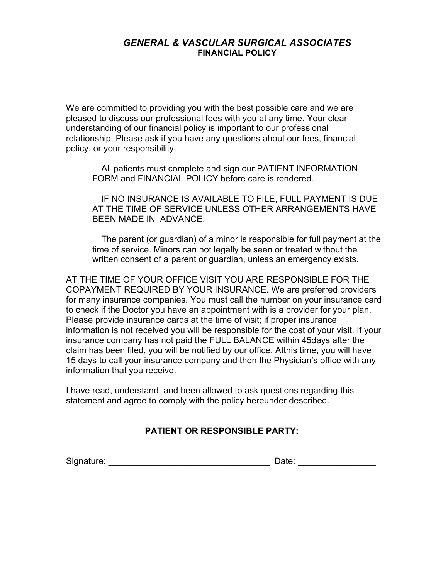### *GENERAL & VASCULAR SURGICAL ASSOCIATES* **FINANCIAL POLICY**

We are committed to providing you with the best possible care and we are pleased to discuss our professional fees with you at any time. Your clear understanding of our financial policy is important to our professional relationship. Please ask if you have any questions about our fees, financial policy, or your responsibility.

 All patients must complete and sign our PATIENT INFORMATION FORM and FINANCIAL POLICY before care is rendered.

 IF NO INSURANCE IS AVAILABLE TO FILE, FULL PAYMENT IS DUE AT THE TIME OF SERVICE UNLESS OTHER ARRANGEMENTS HAVE BEEN MADE IN ADVANCE.

 The parent (or guardian) of a minor is responsible for full payment at the time of service. Minors can not legally be seen or treated without the written consent of a parent or guardian, unless an emergency exists.

AT THE TIME OF YOUR OFFICE VISIT YOU ARE RESPONSIBLE FOR THE COPAYMENT REQUIRED BY YOUR INSURANCE. We are preferred providers for many insurance companies. You must call the number on your insurance card to check if the Doctor you have an appointment with is a provider for your plan. Please provide insurance cards at the time of visit; if proper insurance information is not received you will be responsible for the cost of your visit. If your insurance company has not paid the FULL BALANCE within 45days after the claim has been filed, you will be notified by our office. Atthis time, you will have 15 days to call your insurance company and then the Physician's office with any information that you receive.

I have read, understand, and been allowed to ask questions regarding this statement and agree to comply with the policy hereunder described.

## **PATIENT OR RESPONSIBLE PARTY:**

Signature: \_\_\_\_\_\_\_\_\_\_\_\_\_\_\_\_\_\_\_\_\_\_\_\_\_\_\_\_\_\_\_\_\_ Date: \_\_\_\_\_\_\_\_\_\_\_\_\_\_\_\_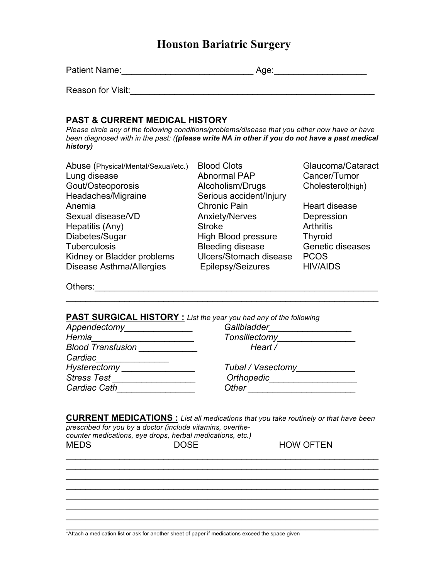| Patient Name: | Aae:<br>. . |
|---------------|-------------|
|---------------|-------------|

Reason for Visit:\_\_\_\_\_\_\_\_\_\_\_\_\_\_\_\_\_\_\_\_\_\_\_\_\_\_\_\_\_\_\_\_\_\_\_\_\_\_\_\_\_\_\_\_\_\_\_\_\_\_

### **PAST & CURRENT MEDICAL HISTORY**

*Please circle any of the following conditions/problems/disease that you either now have or have been diagnosed with in the past: ((please write NA in other if you do not have a past medical history)*

| Abuse (Physical/Mental/Sexual/etc.) | <b>Blood Clots</b>         | Glaucoma/Cataract |
|-------------------------------------|----------------------------|-------------------|
| Lung disease                        | Abnormal PAP               | Cancer/Tumor      |
| Gout/Osteoporosis                   | Alcoholism/Drugs           | Cholesterol(high) |
| Headaches/Migraine                  | Serious accident/Injury    |                   |
| Anemia                              | <b>Chronic Pain</b>        | Heart disease     |
| Sexual disease/VD                   | <b>Anxiety/Nerves</b>      | Depression        |
| Hepatitis (Any)                     | <b>Stroke</b>              | <b>Arthritis</b>  |
| Diabetes/Sugar                      | <b>High Blood pressure</b> | <b>Thyroid</b>    |
| Tuberculosis                        | <b>Bleeding disease</b>    | Genetic diseases  |
| Kidney or Bladder problems          | Ulcers/Stomach disease     | <b>PCOS</b>       |
| <b>Disease Asthma/Allergies</b>     | Epilepsy/Seizures          | <b>HIV/AIDS</b>   |

\_\_\_\_\_\_\_\_\_\_\_\_\_\_\_\_\_\_\_\_\_\_\_\_\_\_\_\_\_\_\_\_\_\_\_\_\_\_\_\_\_\_\_\_\_\_\_\_\_\_\_\_\_\_\_\_\_\_\_\_\_\_\_\_

Others:\_\_\_\_\_\_\_\_\_\_\_\_\_\_\_\_\_\_\_\_\_\_\_\_\_\_\_\_\_\_\_\_\_\_\_\_\_\_\_\_\_\_\_\_\_\_\_\_\_\_\_\_\_\_\_\_\_\_

### **PAST SURGICAL HISTORY :** *List the year you had any of the following*

| Appendectomy             | Gallbladder       |
|--------------------------|-------------------|
| Hernia                   | Tonsillectomy     |
| <b>Blood Transfusion</b> | Heart /           |
| Cardiac                  |                   |
| Hysterectomy             | Tubal / Vasectomy |
| <b>Stress Test</b>       | Orthopedic        |
| Cardiac Cath             | Other             |

**CURRENT MEDICATIONS :** *List all medications that you take routinely or that have been prescribed for you by a doctor (include vitamins, overthecounter medications, eye drops, herbal medications, etc.)*

 $\mathcal{L}_\text{max}$  and  $\mathcal{L}_\text{max}$  and  $\mathcal{L}_\text{max}$  and  $\mathcal{L}_\text{max}$  and  $\mathcal{L}_\text{max}$  and  $\mathcal{L}_\text{max}$ 

\_\_\_\_\_\_\_\_\_\_\_\_\_\_\_\_\_\_\_\_\_\_\_\_\_\_\_\_\_\_\_\_\_\_\_\_\_\_\_\_\_\_\_\_\_\_\_\_\_\_\_\_\_\_\_\_\_\_\_\_\_\_\_\_

 $\mathcal{L}_\text{max}$  and  $\mathcal{L}_\text{max}$  and  $\mathcal{L}_\text{max}$  and  $\mathcal{L}_\text{max}$  and  $\mathcal{L}_\text{max}$  and  $\mathcal{L}_\text{max}$  $\mathcal{L}_\text{max}$  and  $\mathcal{L}_\text{max}$  and  $\mathcal{L}_\text{max}$  and  $\mathcal{L}_\text{max}$  and  $\mathcal{L}_\text{max}$  and  $\mathcal{L}_\text{max}$ 

\_\_\_\_\_\_\_\_\_\_\_\_\_\_\_\_\_\_\_\_\_\_\_\_\_\_\_\_\_\_\_\_\_\_\_\_\_\_\_\_\_\_\_\_\_\_\_\_\_\_\_\_\_\_\_\_\_\_\_\_\_\_\_\_

HOW OFTEN

| <b>MEDS</b> | <b>DOSE</b> |  |
|-------------|-------------|--|
|             |             |  |

\_\_\_\_\_\_\_\_\_\_\_\_\_\_\_\_\_\_\_\_\_\_\_\_\_\_\_\_\_\_\_\_\_\_\_\_\_\_\_\_\_\_\_\_\_\_\_\_\_\_\_\_\_\_\_\_\_\_\_\_\_\_\_\_ \*Attach a medication list or ask for another sheet of paper if medications exceed the space given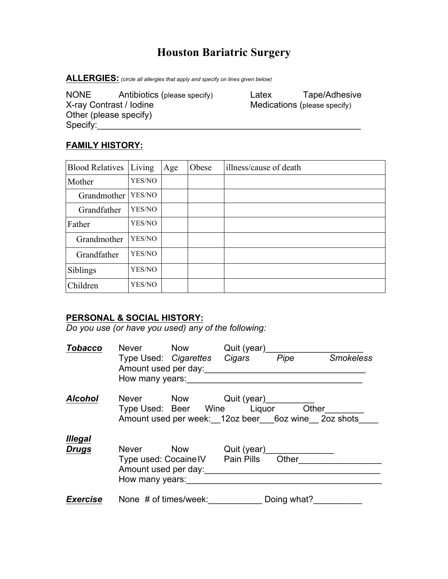**ALLERGIES:** *(circle all allergies that apply and specify on lines given below)*

NONE Antibiotics (please specify) Latex Tape/Adhesive<br>
X-ray Contrast / Iodine Medications (please specify) Medications (please specify) Other (please specify) Specify:\_\_\_\_\_\_\_\_\_\_\_\_\_\_\_\_\_\_\_\_\_\_\_\_\_\_\_\_\_\_\_\_\_\_\_\_\_\_\_\_\_\_\_\_\_\_\_\_\_\_\_\_\_\_

## **FAMILY HISTORY:**

| <b>Blood Relatives</b> | Living | Age | Obese | illness/cause of death |
|------------------------|--------|-----|-------|------------------------|
| Mother                 | YES/NO |     |       |                        |
| Grandmother            | YES/NO |     |       |                        |
| Grandfather            | YES/NO |     |       |                        |
| Father                 | YES/NO |     |       |                        |
| Grandmother            | YES/NO |     |       |                        |
| Grandfather            | YES/NO |     |       |                        |
| Siblings               | YES/NO |     |       |                        |
| Children               | YES/NO |     |       |                        |

## **PERSONAL & SOCIAL HISTORY:**

*Do you use (or have you used) any of the following:*

| <b>Tobacco</b>  | Never Now             |                              | Quit (year)                            |             |                                                    |
|-----------------|-----------------------|------------------------------|----------------------------------------|-------------|----------------------------------------------------|
|                 |                       | Type Used: Cigarettes Cigars |                                        | Pipe        | <b>Smokeless</b>                                   |
|                 |                       | Amount used per day:         |                                        |             |                                                    |
|                 | How many years:       |                              |                                        |             |                                                    |
| <b>Alcohol</b>  |                       |                              | Never Now Quit (year)                  |             |                                                    |
|                 |                       |                              | Type Used: Beer Wine Liquor Other      |             |                                                    |
|                 |                       |                              |                                        |             | Amount used per week: 12oz beer 6oz wine 2oz shots |
| <b>Illegal</b>  |                       |                              |                                        |             |                                                    |
| <b>Drugs</b>    | Never Now             |                              | Quit (year) <u>_____________</u>       |             |                                                    |
|                 |                       |                              | Type used: Cocaine IV Pain Pills Other |             |                                                    |
|                 | Amount used per day:  |                              |                                        |             |                                                    |
|                 | How many years:       |                              |                                        |             |                                                    |
| <b>Exercise</b> | None # of times/week: |                              |                                        | Doing what? |                                                    |
|                 |                       |                              |                                        |             |                                                    |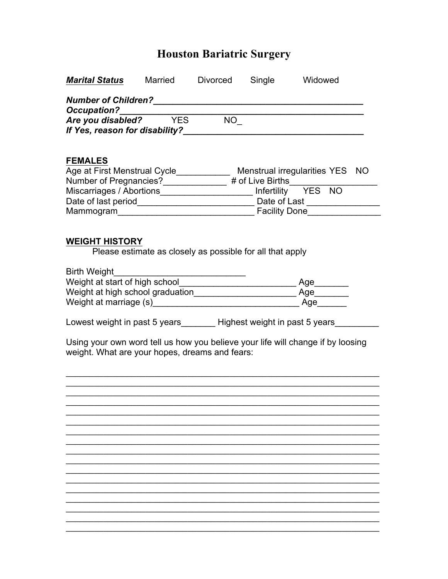| <b>Marital Status</b>                                                                                                                                                                                                          | Married    | Divorced                                                  | Single | Widowed                                                                          |  |
|--------------------------------------------------------------------------------------------------------------------------------------------------------------------------------------------------------------------------------|------------|-----------------------------------------------------------|--------|----------------------------------------------------------------------------------|--|
| <b>Number of Children?</b>                                                                                                                                                                                                     |            |                                                           |        |                                                                                  |  |
| <b>Occupation?</b>                                                                                                                                                                                                             |            |                                                           |        |                                                                                  |  |
| Are you disabled?                                                                                                                                                                                                              | <b>YES</b> | $NO-$                                                     |        |                                                                                  |  |
| If Yes, reason for disability?                                                                                                                                                                                                 |            |                                                           |        |                                                                                  |  |
| <b>FEMALES</b>                                                                                                                                                                                                                 |            |                                                           |        |                                                                                  |  |
|                                                                                                                                                                                                                                |            |                                                           |        | Age at First Menstrual Cycle______________ Menstrual irregularities YES NO       |  |
|                                                                                                                                                                                                                                |            |                                                           |        | Number of Pregnancies?______________# of Live Births____________________________ |  |
| Miscarriages / Abortions______________________ Infertility YES NO                                                                                                                                                              |            |                                                           |        |                                                                                  |  |
|                                                                                                                                                                                                                                |            |                                                           |        |                                                                                  |  |
| Mammogram Mammogram Mammogram Mammogram Mammogram Mammogram Mammogram Mammogram Mammogram Mammogram Mammogram Mammogram Mammogram Mammogram Mammogram Mammogram Mammogram Mammogram Mammogram Mammogram Mammogram Mammogram Ma |            |                                                           |        |                                                                                  |  |
|                                                                                                                                                                                                                                |            |                                                           |        |                                                                                  |  |
| <b>WEIGHT HISTORY</b>                                                                                                                                                                                                          |            |                                                           |        |                                                                                  |  |
|                                                                                                                                                                                                                                |            | Please estimate as closely as possible for all that apply |        |                                                                                  |  |
| <b>Birth Weight</b>                                                                                                                                                                                                            |            |                                                           |        |                                                                                  |  |
|                                                                                                                                                                                                                                |            |                                                           |        | Age_______                                                                       |  |
|                                                                                                                                                                                                                                |            |                                                           |        |                                                                                  |  |
| Weight at marriage (s) Meight at marriage (s)                                                                                                                                                                                  |            |                                                           |        | Age                                                                              |  |
|                                                                                                                                                                                                                                |            |                                                           |        |                                                                                  |  |
| Lowest weight in past 5 years_________Highest weight in past 5 years____                                                                                                                                                       |            |                                                           |        |                                                                                  |  |
|                                                                                                                                                                                                                                |            |                                                           |        | Using your own word tell us how you believe your life will change if by loosing  |  |
| weight. What are your hopes, dreams and fears:                                                                                                                                                                                 |            |                                                           |        |                                                                                  |  |
|                                                                                                                                                                                                                                |            |                                                           |        |                                                                                  |  |
|                                                                                                                                                                                                                                |            |                                                           |        |                                                                                  |  |
|                                                                                                                                                                                                                                |            |                                                           |        |                                                                                  |  |
|                                                                                                                                                                                                                                |            |                                                           |        |                                                                                  |  |
|                                                                                                                                                                                                                                |            |                                                           |        |                                                                                  |  |
|                                                                                                                                                                                                                                |            |                                                           |        |                                                                                  |  |
|                                                                                                                                                                                                                                |            |                                                           |        |                                                                                  |  |
|                                                                                                                                                                                                                                |            |                                                           |        |                                                                                  |  |
|                                                                                                                                                                                                                                |            |                                                           |        |                                                                                  |  |
|                                                                                                                                                                                                                                |            |                                                           |        |                                                                                  |  |
|                                                                                                                                                                                                                                |            |                                                           |        |                                                                                  |  |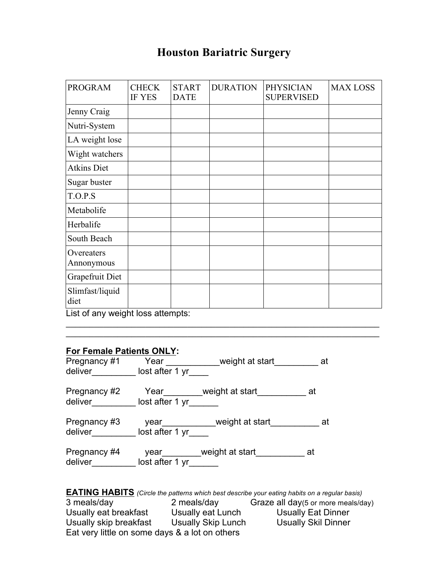| <b>PROGRAM</b>                    | <b>CHECK</b><br>IF YES | <b>START</b><br><b>DATE</b> | <b>DURATION</b> | <b>PHYSICIAN</b><br><b>SUPERVISED</b> | <b>MAX LOSS</b> |
|-----------------------------------|------------------------|-----------------------------|-----------------|---------------------------------------|-----------------|
| Jenny Craig                       |                        |                             |                 |                                       |                 |
| Nutri-System                      |                        |                             |                 |                                       |                 |
| LA weight lose                    |                        |                             |                 |                                       |                 |
| Wight watchers                    |                        |                             |                 |                                       |                 |
| <b>Atkins Diet</b>                |                        |                             |                 |                                       |                 |
| Sugar buster                      |                        |                             |                 |                                       |                 |
| T.O.P.S                           |                        |                             |                 |                                       |                 |
| Metabolife                        |                        |                             |                 |                                       |                 |
| Herbalife                         |                        |                             |                 |                                       |                 |
| South Beach                       |                        |                             |                 |                                       |                 |
| Overeaters<br>Annonymous          |                        |                             |                 |                                       |                 |
| Grapefruit Diet                   |                        |                             |                 |                                       |                 |
| Slimfast/liquid<br>diet           |                        |                             |                 |                                       |                 |
| List of any weight loss attempts: |                        |                             |                 |                                       |                 |

 $\_$ 

## **For Female Patients ONLY:**

| Pregnancy #1<br>deliver | Year<br>lost after 1 yr | weight at start               | _at  |
|-------------------------|-------------------------|-------------------------------|------|
| Pregnancy #2<br>deliver | lost after 1 yr         | Year weight at start          | at   |
| Pregnancy #3<br>deliver | lost after 1 yr         | year__________weight at start | at a |
| Pregnancy #4<br>deliver | lost after 1 yr         | year_________weight at start  | at   |

**EATING HABITS** *(Circle the patterns which best describe your eating habits on a regular basis)* 2 meals/day Graze all day(5 or more meals/day)<br>Usually eat Lunch Usually Eat Dinner Usually eat breakfast Usually eat Lunch Usually Eat Dinner<br>Usually skip breakfast Usually Skip Lunch Usually Skil Dinner Usually skip breakfast Usually Skip Lunch Usually Skil Dinner Eat very little on some days & a lot on others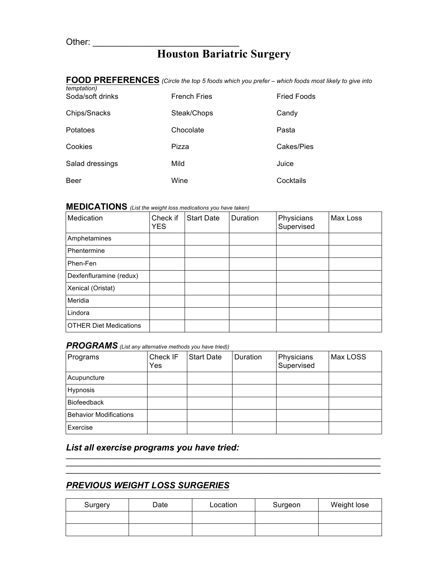|                                 | <b>I</b> UU I ILLI EILLIUEU (UIIDE INE IDE) J ROUS WHICH YOU DIETEI – WHICH ROUS HIOSLIINEI Y TO GIVE I |                    |
|---------------------------------|---------------------------------------------------------------------------------------------------------|--------------------|
| temptation)<br>Soda/soft drinks | <b>French Fries</b>                                                                                     | <b>Fried Foods</b> |
| Chips/Snacks                    | Steak/Chops                                                                                             | Candy              |
| Potatoes                        | Chocolate                                                                                               | Pasta              |
| Cookies                         | Pizza                                                                                                   | Cakes/Pies         |
| Salad dressings                 | Mild                                                                                                    | Juice              |
| Beer                            | Wine                                                                                                    | Cocktails          |

# **FOOD PREFERENCES** *(Circle the top 5 foods which you prefer – which foods most likely to give into*

# **MEDICATIONS** *(List the weight loss medications you have taken)*

| Medication                    | Check if<br><b>YES</b> | <b>Start Date</b> | Duration | Physicians<br>Supervised | Max Loss |
|-------------------------------|------------------------|-------------------|----------|--------------------------|----------|
| Amphetamines                  |                        |                   |          |                          |          |
| Phentermine                   |                        |                   |          |                          |          |
| Phen-Fen                      |                        |                   |          |                          |          |
| Dexfenfluramine (redux)       |                        |                   |          |                          |          |
| Xenical (Oristat)             |                        |                   |          |                          |          |
| Meridia                       |                        |                   |          |                          |          |
| Lindora                       |                        |                   |          |                          |          |
| <b>OTHER Diet Medications</b> |                        |                   |          |                          |          |

### *PROGRAMS (List any alternative methods you have tried))*

| Programs                      | Check IF<br>Yes | <b>Start Date</b> | Duration | Physicians<br>Supervised | Max LOSS |
|-------------------------------|-----------------|-------------------|----------|--------------------------|----------|
| Acupuncture                   |                 |                   |          |                          |          |
| Hypnosis                      |                 |                   |          |                          |          |
| <b>Biofeedback</b>            |                 |                   |          |                          |          |
| <b>Behavior Modifications</b> |                 |                   |          |                          |          |
| Exercise                      |                 |                   |          |                          |          |

## *List all exercise programs you have tried:*

# *PREVIOUS WEIGHT LOSS SURGERIES*

| Surgery | Date | Location | Surgeon | Weight lose |
|---------|------|----------|---------|-------------|
|         |      |          |         |             |
|         |      |          |         |             |

*\_\_\_\_\_\_\_\_\_\_\_\_\_\_\_\_\_\_\_\_\_\_\_\_\_\_\_\_\_\_\_\_\_\_\_\_\_\_\_\_\_\_\_\_\_\_\_\_\_\_\_\_\_\_\_\_\_\_\_\_\_\_\_\_\_\_\_\_\_\_\_\_\_\_\_\_\_\_\_\_\_\_\_\_\_\_\_\_\_\_\_ \_\_\_\_\_\_\_\_\_\_\_\_\_\_\_\_\_\_\_\_\_\_\_\_\_\_\_\_\_\_\_\_\_\_\_\_\_\_\_\_\_\_\_\_\_\_\_\_\_\_\_\_\_\_\_\_\_\_\_\_\_\_\_\_\_\_\_\_\_\_\_\_\_\_\_\_\_\_\_\_\_\_\_\_\_\_\_\_\_\_\_ \_\_\_\_\_\_\_\_\_\_\_\_\_\_\_\_\_\_\_\_\_\_\_\_\_\_\_\_\_\_\_\_\_\_\_\_\_\_\_\_\_\_\_\_\_\_\_\_\_\_\_\_\_\_\_\_\_\_\_\_\_\_\_\_\_\_\_\_\_\_\_\_\_\_\_\_\_\_\_\_\_\_\_\_\_\_\_\_\_\_\_*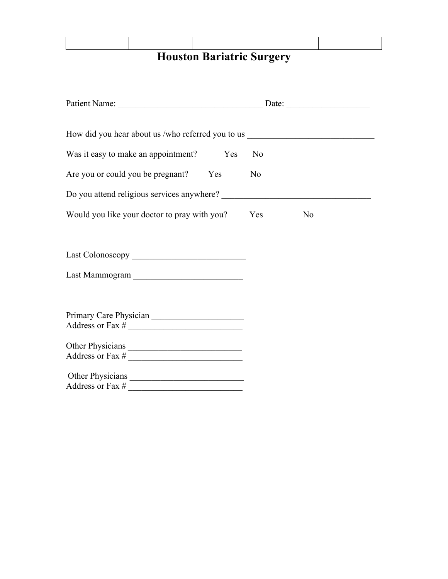| Patient Name: Date: Date:                                                        |                |                |
|----------------------------------------------------------------------------------|----------------|----------------|
|                                                                                  |                |                |
| How did you hear about us /who referred you to us ______________________________ |                |                |
| Was it easy to make an appointment? Yes                                          | N <sub>0</sub> |                |
| Are you or could you be pregnant? Yes                                            | N <sub>0</sub> |                |
|                                                                                  |                |                |
| Would you like your doctor to pray with you?                                     | Yes            | N <sub>0</sub> |
|                                                                                  |                |                |
|                                                                                  |                |                |
| Last Mammogram                                                                   |                |                |
|                                                                                  |                |                |
|                                                                                  |                |                |
|                                                                                  |                |                |
| Other Physicians                                                                 |                |                |
| Other Physicians                                                                 |                |                |
|                                                                                  |                |                |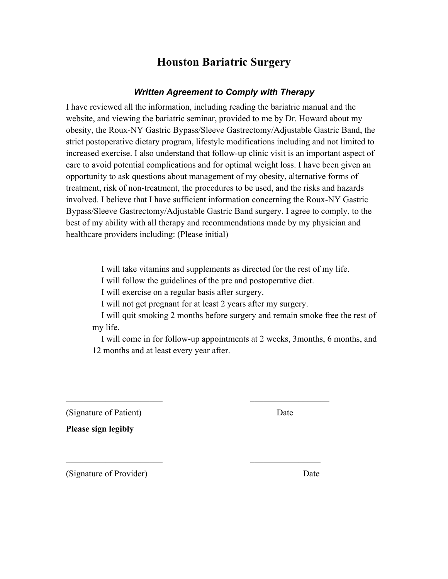### *Written Agreement to Comply with Therapy*

I have reviewed all the information, including reading the bariatric manual and the website, and viewing the bariatric seminar, provided to me by Dr. Howard about my obesity, the Roux-NY Gastric Bypass/Sleeve Gastrectomy/Adjustable Gastric Band, the strict postoperative dietary program, lifestyle modifications including and not limited to increased exercise. I also understand that follow-up clinic visit is an important aspect of care to avoid potential complications and for optimal weight loss. I have been given an opportunity to ask questions about management of my obesity, alternative forms of treatment, risk of non-treatment, the procedures to be used, and the risks and hazards involved. I believe that I have sufficient information concerning the Roux-NY Gastric Bypass/Sleeve Gastrectomy/Adjustable Gastric Band surgery. I agree to comply, to the best of my ability with all therapy and recommendations made by my physician and healthcare providers including: (Please initial)

I will take vitamins and supplements as directed for the rest of my life.

I will follow the guidelines of the pre and postoperative diet.

I will exercise on a regular basis after surgery.

I will not get pregnant for at least 2 years after my surgery.

 $\mathcal{L}_\mathcal{L}$  , and the contribution of the contribution of  $\mathcal{L}_\mathcal{L}$ 

 $\mathcal{L}_\text{max}$  and  $\mathcal{L}_\text{max}$  and  $\mathcal{L}_\text{max}$  and  $\mathcal{L}_\text{max}$ 

 I will quit smoking 2 months before surgery and remain smoke free the rest of my life.

 I will come in for follow-up appointments at 2 weeks, 3months, 6 months, and 12 months and at least every year after.

(Signature of Patient) Date

**Please sign legibly**

(Signature of Provider) Date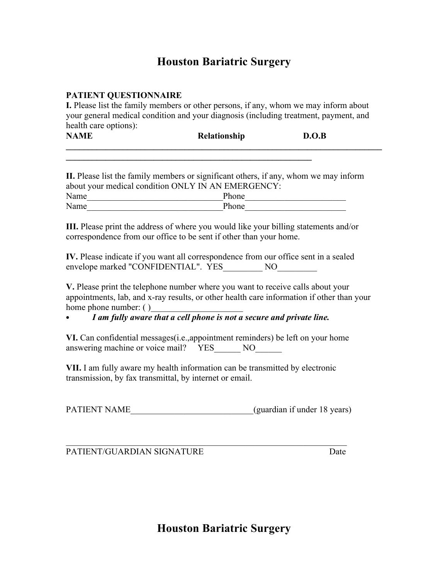### **PATIENT QUESTIONNAIRE**

**I.** Please list the family members or other persons, if any, whom we may inform about your general medical condition and your diagnosis (including treatment, payment, and health care options):

| <b>NAME</b> | Relationship | D.O.B |
|-------------|--------------|-------|
|             |              |       |

**\_\_\_\_\_\_\_\_\_\_\_\_\_\_\_\_\_\_\_\_\_\_\_\_\_\_\_\_\_\_\_\_\_\_\_\_\_\_\_\_\_\_\_\_\_\_\_\_\_\_\_\_\_\_\_\_**

**II.** Please list the family members or significant others, if any, whom we may inform about your medical condition ONLY IN AN EMERGENCY: Name Phone Name Phone

**III.** Please print the address of where you would like your billing statements and/or correspondence from our office to be sent if other than your home.

**IV.** Please indicate if you want all correspondence from our office sent in a sealed envelope marked "CONFIDENTIAL". YES\_\_\_\_\_\_\_\_\_ NO\_\_\_\_\_\_\_\_\_

**V.** Please print the telephone number where you want to receive calls about your appointments, lab, and x-ray results, or other health care information if other than your home phone number: ()

• *I am fully aware that a cell phone is not a secure and private line.*

**VI.** Can confidential messages(i.e.,appointment reminders) be left on your home answering machine or voice mail? YES NO

**VII.** I am fully aware my health information can be transmitted by electronic transmission, by fax transmittal, by internet or email.

| PATIENT NAME | (guardian if under 18 years) |
|--------------|------------------------------|
|--------------|------------------------------|

 $\mathcal{L}_\text{max}$  , and the contribution of the contribution of the contribution of the contribution of the contribution of the contribution of the contribution of the contribution of the contribution of the contribution of t PATIENT/GUARDIAN SIGNATURE **Example 2018** Date

**Houston Bariatric Surgery**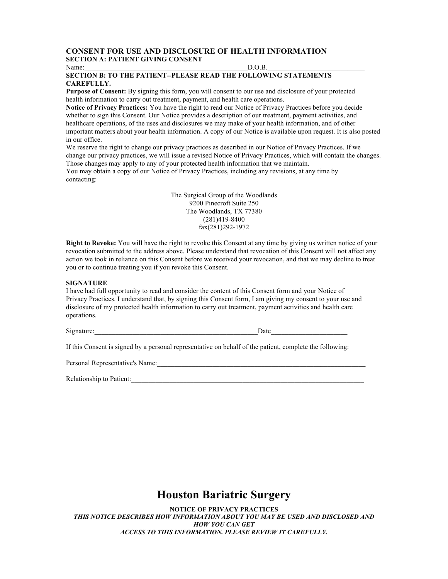#### **CONSENT FOR USE AND DISCLOSURE OF HEALTH INFORMATION SECTION A: PATIENT GIVING CONSENT**

Name:\_\_\_\_\_\_\_\_\_\_\_\_\_\_\_\_\_\_\_\_\_\_\_\_\_\_\_\_\_\_\_\_\_\_\_\_\_\_\_\_\_\_\_\_\_\_\_D.O.B.\_\_\_\_\_\_\_\_\_\_\_\_\_\_\_\_\_\_\_\_\_\_\_\_\_\_\_\_

**SECTION B: TO THE PATIENT--PLEASE READ THE FOLLOWING STATEMENTS CAREFULLY.**

**Purpose of Consent:** By signing this form, you will consent to our use and disclosure of your protected health information to carry out treatment, payment, and health care operations.

**Notice of Privacy Practices:** You have the right to read our Notice of Privacy Practices before you decide whether to sign this Consent. Our Notice provides a description of our treatment, payment activities, and healthcare operations, of the uses and disclosures we may make of your health information, and of other important matters about your health information. A copy of our Notice is available upon request. It is also posted in our office.

We reserve the right to change our privacy practices as described in our Notice of Privacy Practices. If we change our privacy practices, we will issue a revised Notice of Privacy Practices, which will contain the changes. Those changes may apply to any of your protected health information that we maintain.

You may obtain a copy of our Notice of Privacy Practices, including any revisions, at any time by contacting:

> The Surgical Group of the Woodlands 9200 Pinecroft Suite 250 The Woodlands, TX 77380 (281)419-8400 fax(281)292-1972

**Right to Revoke:** You will have the right to revoke this Consent at any time by giving us written notice of your revocation submitted to the address above. Please understand that revocation of this Consent will not affect any action we took in reliance on this Consent before we received your revocation, and that we may decline to treat you or to continue treating you if you revoke this Consent.

#### **SIGNATURE**

I have had full opportunity to read and consider the content of this Consent form and your Notice of Privacy Practices. I understand that, by signing this Consent form, I am giving my consent to your use and disclosure of my protected health information to carry out treatment, payment activities and health care operations.

Signature: The Date of  $\Box$  and  $\Box$  and  $\Box$  are  $\Box$  and  $\Box$  are  $\Box$  and  $\Box$  are  $\Box$  and  $\Box$  are  $\Box$  and  $\Box$  are  $\Box$  and  $\Box$  are  $\Box$  and  $\Box$  are  $\Box$  and  $\Box$  are  $\Box$  and  $\Box$  are  $\Box$  and  $\Box$  are  $\Box$  and

If this Consent is signed by a personal representative on behalf of the patient, complete the following:

Personal Representative's Name:\_\_\_\_\_\_\_\_\_\_\_\_\_\_\_\_\_\_\_\_\_\_\_\_\_\_\_\_\_\_\_\_\_\_\_\_\_\_\_\_\_\_\_\_\_\_\_\_\_\_\_\_\_\_\_\_\_\_\_\_

Relationship to Patient:

# **Houston Bariatric Surgery**

**NOTICE OF PRIVACY PRACTICES** THIS NOTICE DESCRIBES HOW INFORMATION ABOUT YOU MAY BE USED AND DISCLOSED AND *HOW YOU CAN GET ACCESS TO THIS INFORMATION. PLEASE REVIEW IT CAREFULLY.*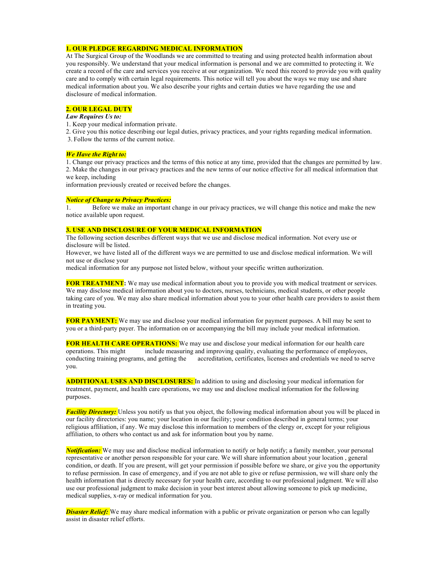#### **1. OUR PLEDGE REGARDING MEDICAL INFORMATION**

At The Surgical Group of the Woodlands we are committed to treating and using protected health information about you responsibly. We understand that your medical information is personal and we are committed to protecting it. We create a record of the care and services you receive at our organization. We need this record to provide you with quality care and to comply with certain legal requirements. This notice will tell you about the ways we may use and share medical information about you. We also describe your rights and certain duties we have regarding the use and disclosure of medical information.

#### **2. OUR LEGAL DUTY**

#### *Law Requires Us to:*

1. Keep your medical information private.

2. Give you this notice describing our legal duties, privacy practices, and your rights regarding medical information.

3. Follow the terms of the current notice.

#### *We Have the Right to:*

1. Change our privacy practices and the terms of this notice at any time, provided that the changes are permitted by law. 2. Make the changes in our privacy practices and the new terms of our notice effective for all medical information that we keep, including

information previously created or received before the changes.

#### *Notice of Change to Privacy Practices:*

1. Before we make an important change in our privacy practices, we will change this notice and make the new notice available upon request.

#### **3. USE AND DISCLOSURE OF YOUR MEDICAL INFORMATION**

The following section describes different ways that we use and disclose medical information. Not every use or disclosure will be listed.

However, we have listed all of the different ways we are permitted to use and disclose medical information. We will not use or disclose your

medical information for any purpose not listed below, without your specific written authorization.

**FOR TREATMENT:** We may use medical information about you to provide you with medical treatment or services. We may disclose medical information about you to doctors, nurses, technicians, medical students, or other people taking care of you. We may also share medical information about you to your other health care providers to assist them in treating you.

**FOR PAYMENT:** We may use and disclose your medical information for payment purposes. A bill may be sent to you or a third-party payer. The information on or accompanying the bill may include your medical information.

**FOR HEALTH CARE OPERATIONS:** We may use and disclose your medical information for our health care operations. This might include measuring and improving quality, evaluating the performance of employees, conducting training programs, and getting the accreditation, certificates, licenses and credentials we need to serve you.

**ADDITIONAL USES AND DISCLOSURES:** In addition to using and disclosing your medical information for treatment, payment, and health care operations, we may use and disclose medical information for the following purposes.

*Facility Directory:* Unless you notify us that you object, the following medical information about you will be placed in our facility directories: you name; your location in our facility; your condition described in general terms; your religious affiliation, if any. We may disclose this information to members of the clergy or, except for your religious affiliation, to others who contact us and ask for information bout you by name.

*Notification:* We may use and disclose medical information to notify or help notify; a family member, your personal representative or another person responsible for your care. We will share information about your location , general condition, or death. If you are present, will get your permission if possible before we share, or give you the opportunity to refuse permission. In case of emergency, and if you are not able to give or refuse permission, we will share only the health information that is directly necessary for your health care, according to our professional judgment. We will also use our professional judgment to make decision in your best interest about allowing someone to pick up medicine, medical supplies, x-ray or medical information for you.

*Disaster Relief:* We may share medical information with a public or private organization or person who can legally assist in disaster relief efforts.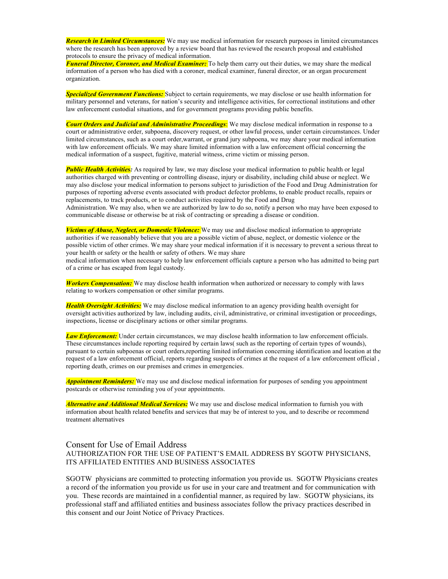*Research in Limited Circumstances:* We may use medical information for research purposes in limited circumstances where the research has been approved by a review board that has reviewed the research proposal and established protocols to ensure the privacy of medical information.

*Funeral Director, Coroner, and Medical Examiner:* To help them carry out their duties, we may share the medical information of a person who has died with a coroner, medical examiner, funeral director, or an organ procurement organization.

*Specialized Government Functions:* Subject to certain requirements, we may disclose or use health information for military personnel and veterans, for nation's security and intelligence activities, for correctional institutions and other law enforcement custodial situations, and for government programs providing public benefits.

*Court Orders and Judicial and Administrative Proceedings*: We may disclose medical information in response to a court or administrative order, subpoena, discovery request, or other lawful process, under certain circumstances. Under limited circumstances, such as a court order,warrant, or grand jury subpoena, we may share your medical information with law enforcement officials. We may share limited information with a law enforcement official concerning the medical information of a suspect, fugitive, material witness, crime victim or missing person.

**Public Health Activities:** As required by law, we may disclose your medical information to public health or legal authorities charged with preventing or controlling disease, injury or disability, including child abuse or neglect. We may also disclose your medical information to persons subject to jurisdiction of the Food and Drug Administration for purposes of reporting adverse events associated with product defector problems, to enable product recalls, repairs or replacements, to track products, or to conduct activities required by the Food and Drug Administration. We may also, when we are authorized by law to do so, notify a person who may have been exposed to communicable disease or otherwise be at risk of contracting or spreading a disease or condition.

*Victims of Abuse, Neglect, or Domestic Violence:* We may use and disclose medical information to appropriate authorities if we reasonably believe that you are a possible victim of abuse, neglect, or domestic violence or the possible victim of other crimes. We may share your medical information if it is necessary to prevent a serious threat to your health or safety or the health or safety of others. We may share

medical information when necessary to help law enforcement officials capture a person who has admitted to being part of a crime or has escaped from legal custody.

*Workers Compensation:* We may disclose health information when authorized or necessary to comply with laws relating to workers compensation or other similar programs.

*Health Oversight Activities:* We may disclose medical information to an agency providing health oversight for oversight activities authorized by law, including audits, civil, administrative, or criminal investigation or proceedings, inspections, license or disciplinary actions or other similar programs.

*Law Enforcement:* Under certain circumstances, we may disclose health information to law enforcement officials. These circumstances include reporting required by certain laws( such as the reporting of certain types of wounds), pursuant to certain subpoenas or court orders,reporting limited information concerning identification and location at the request of a law enforcement official, reports regarding suspects of crimes at the request of a law enforcement official , reporting death, crimes on our premises and crimes in emergencies.

*Appointment Reminders:* We may use and disclose medical information for purposes of sending you appointment postcards or otherwise reminding you of your appointments.

*Alternative and Additional Medical Services:* We may use and disclose medical information to furnish you with information about health related benefits and services that may be of interest to you, and to describe or recommend treatment alternatives

### Consent for Use of Email Address AUTHORIZATION FOR THE USE OF PATIENT'S EMAIL ADDRESS BY SGOTW PHYSICIANS, ITS AFFILIATED ENTITIES AND BUSINESS ASSOCIATES

SGOTW physicians are committed to protecting information you provide us. SGOTW Physicians creates a record of the information you provide us for use in your care and treatment and for communication with you. These records are maintained in a confidential manner, as required by law. SGOTW physicians, its professional staff and affiliated entities and business associates follow the privacy practices described in this consent and our Joint Notice of Privacy Practices.